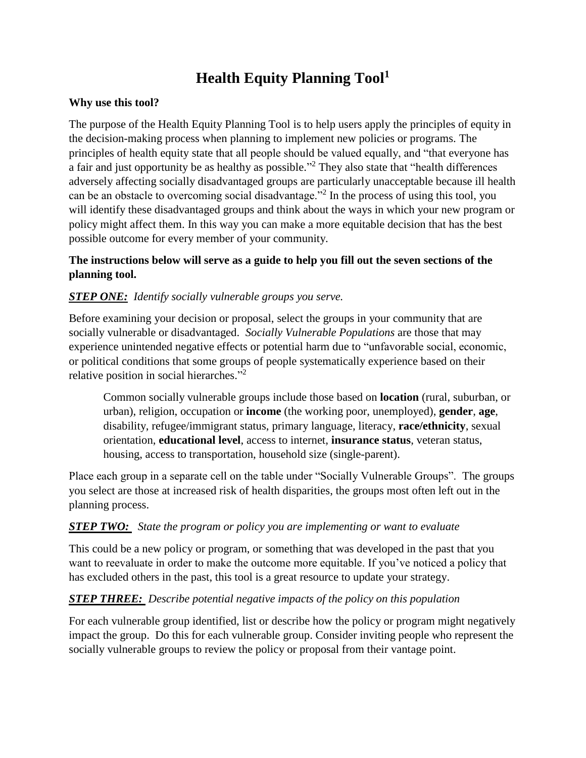## **Health Equity Planning Tool<sup>1</sup>**

### **Why use this tool?**

The purpose of the Health Equity Planning Tool is to help users apply the principles of equity in the decision-making process when planning to implement new policies or programs. The principles of health equity state that all people should be valued equally, and "that everyone has a fair and just opportunity be as healthy as possible."<sup>2</sup> They also state that "health differences" adversely affecting socially disadvantaged groups are particularly unacceptable because ill health can be an obstacle to overcoming social disadvantage."<sup>2</sup> In the process of using this tool, you will identify these disadvantaged groups and think about the ways in which your new program or policy might affect them. In this way you can make a more equitable decision that has the best possible outcome for every member of your community.

## **The instructions below will serve as a guide to help you fill out the seven sections of the planning tool.**

## *STEP ONE: Identify socially vulnerable groups you serve.*

Before examining your decision or proposal, select the groups in your community that are socially vulnerable or disadvantaged. *Socially Vulnerable Populations* are those that may experience unintended negative effects or potential harm due to "unfavorable social, economic, or political conditions that some groups of people systematically experience based on their relative position in social hierarches."<sup>2</sup>

Common socially vulnerable groups include those based on **location** (rural, suburban, or urban), religion, occupation or **income** (the working poor, unemployed), **gender**, **age**, disability, refugee/immigrant status, primary language, literacy, **race/ethnicity**, sexual orientation, **educational level**, access to internet, **insurance status**, veteran status, housing, access to transportation, household size (single-parent).

Place each group in a separate cell on the table under "Socially Vulnerable Groups". The groups you select are those at increased risk of health disparities, the groups most often left out in the planning process.

## *STEP TWO: State the program or policy you are implementing or want to evaluate*

This could be a new policy or program, or something that was developed in the past that you want to reevaluate in order to make the outcome more equitable. If you've noticed a policy that has excluded others in the past, this tool is a great resource to update your strategy.

## *STEP THREE: Describe potential negative impacts of the policy on this population*

For each vulnerable group identified, list or describe how the policy or program might negatively impact the group. Do this for each vulnerable group. Consider inviting people who represent the socially vulnerable groups to review the policy or proposal from their vantage point.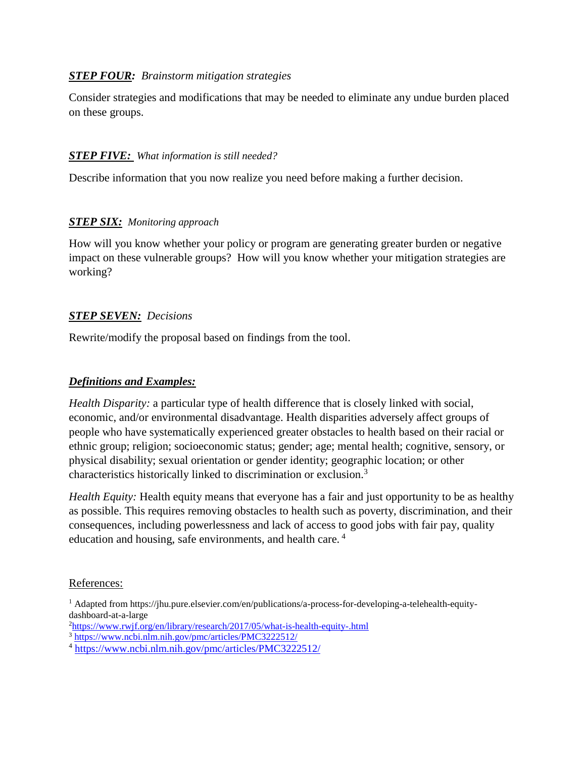## *STEP FOUR: Brainstorm mitigation strategies*

Consider strategies and modifications that may be needed to eliminate any undue burden placed on these groups.

#### *STEP FIVE: What information is still needed?*

Describe information that you now realize you need before making a further decision.

#### *STEP SIX: Monitoring approach*

How will you know whether your policy or program are generating greater burden or negative impact on these vulnerable groups? How will you know whether your mitigation strategies are working?

#### *STEP SEVEN: Decisions*

Rewrite/modify the proposal based on findings from the tool.

### *Definitions and Examples:*

*Health Disparity:* a particular type of health difference that is closely linked with social, economic, and/or environmental disadvantage. Health disparities adversely affect groups of people who have systematically experienced greater obstacles to health based on their racial or ethnic group; religion; socioeconomic status; gender; age; mental health; cognitive, sensory, or physical disability; sexual orientation or gender identity; geographic location; or other characteristics historically linked to discrimination or exclusion.<sup>3</sup>

*Health Equity:* Health equity means that everyone has a fair and just opportunity to be as healthy as possible. This requires removing obstacles to health such as poverty, discrimination, and their consequences, including powerlessness and lack of access to good jobs with fair pay, quality education and housing, safe environments, and health care.<sup>4</sup>

#### References:

<sup>&</sup>lt;sup>1</sup> Adapted from https://jhu.pure.elsevier.com/en/publications/a-process-for-developing-a-telehealth-equitydashboard-at-a-large

<sup>2</sup><https://www.rwjf.org/en/library/research/2017/05/what-is-health-equity-.html>

<sup>3</sup> <https://www.ncbi.nlm.nih.gov/pmc/articles/PMC3222512/>

<sup>4</sup> <https://www.ncbi.nlm.nih.gov/pmc/articles/PMC3222512/>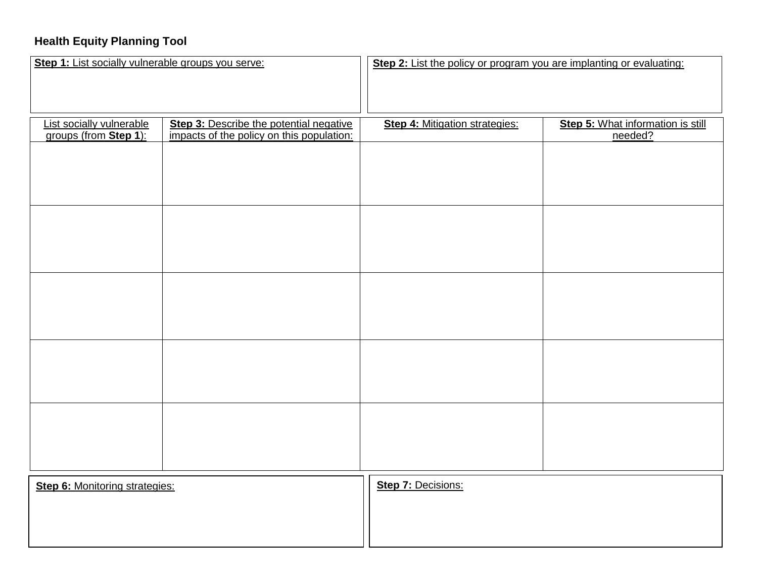## **Health Equity Planning Tool**

| Step 1: List socially vulnerable groups you serve: |                                                                                      | Step 2: List the policy or program you are implanting or evaluating: |                                              |
|----------------------------------------------------|--------------------------------------------------------------------------------------|----------------------------------------------------------------------|----------------------------------------------|
|                                                    |                                                                                      |                                                                      |                                              |
|                                                    |                                                                                      |                                                                      |                                              |
| List socially vulnerable<br>groups (from Step 1):  | Step 3: Describe the potential negative<br>impacts of the policy on this population: | Step 4: Mitigation strategies:                                       | Step 5: What information is still<br>needed? |
|                                                    |                                                                                      |                                                                      |                                              |
|                                                    |                                                                                      |                                                                      |                                              |
|                                                    |                                                                                      |                                                                      |                                              |
|                                                    |                                                                                      |                                                                      |                                              |
|                                                    |                                                                                      |                                                                      |                                              |
|                                                    |                                                                                      |                                                                      |                                              |
|                                                    |                                                                                      |                                                                      |                                              |
|                                                    |                                                                                      |                                                                      |                                              |
|                                                    |                                                                                      |                                                                      |                                              |
|                                                    |                                                                                      |                                                                      |                                              |
|                                                    |                                                                                      |                                                                      |                                              |
|                                                    |                                                                                      |                                                                      |                                              |
|                                                    |                                                                                      |                                                                      |                                              |
|                                                    |                                                                                      |                                                                      |                                              |
|                                                    |                                                                                      |                                                                      |                                              |
|                                                    |                                                                                      |                                                                      |                                              |
|                                                    |                                                                                      |                                                                      |                                              |
|                                                    |                                                                                      |                                                                      |                                              |
|                                                    |                                                                                      |                                                                      |                                              |
| <b>Step 6: Monitoring strategies:</b>              |                                                                                      | Step 7: Decisions:                                                   |                                              |
|                                                    |                                                                                      |                                                                      |                                              |
|                                                    |                                                                                      |                                                                      |                                              |
|                                                    |                                                                                      |                                                                      |                                              |